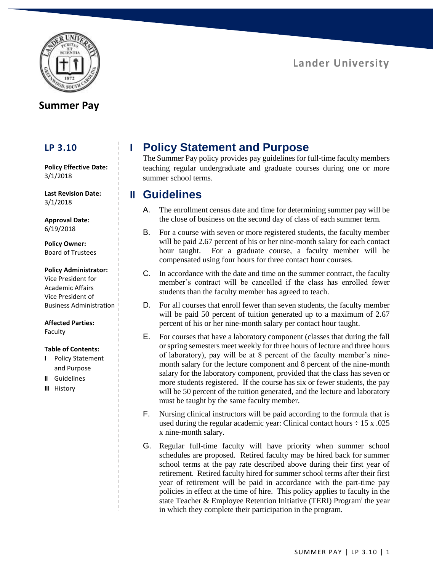

## **Summer Pay**

### **LP 3.10**

**Policy Effective Date:** 3/1/2018

**Last Revision Date:** 3/1/2018

**Approval Date:** 6/19/2018

**Policy Owner:** Board of Trustees

### **Policy Administrator:**

Vice President for Academic Affairs Vice President of Business Administration

**Affected Parties:** Faculty

### **Table of Contents:**

- **I** Policy Statement and Purpose
- **II** Guidelines
- **III** History

# **I Policy Statement and Purpose**

The Summer Pay policy provides pay guidelines for full-time faculty members teaching regular undergraduate and graduate courses during one or more summer school terms.

## **II Guidelines**

- A. The enrollment census date and time for determining summer pay will be the close of business on the second day of class of each summer term.
- B. For a course with seven or more registered students, the faculty member will be paid 2.67 percent of his or her nine-month salary for each contact hour taught. For a graduate course, a faculty member will be compensated using four hours for three contact hour courses.
- C. In accordance with the date and time on the summer contract, the faculty member's contract will be cancelled if the class has enrolled fewer students than the faculty member has agreed to teach.
- D. For all courses that enroll fewer than seven students, the faculty member will be paid 50 percent of tuition generated up to a maximum of 2.67 percent of his or her nine-month salary per contact hour taught.
- E. For courses that have a laboratory component (classes that during the fall or spring semesters meet weekly for three hours of lecture and three hours of laboratory), pay will be at 8 percent of the faculty member's ninemonth salary for the lecture component and 8 percent of the nine-month salary for the laboratory component, provided that the class has seven or more students registered. If the course has six or fewer students, the pay will be 50 percent of the tuition generated, and the lecture and laboratory must be taught by the same faculty member.
- F. Nursing clinical instructors will be paid according to the formula that is used during the regular academic year: Clinical contact hours  $\div 15 \times .025$ x nine-month salary.
- G. Regular full-time faculty will have priority when summer school schedules are proposed. Retired faculty may be hired back for summer school terms at the pay rate described above during their first year of retirement. Retired faculty hired for summer school terms after their first year of retirement will be paid in accordance with the part-time pay policies in effect at the time of hire. This policy applies to faculty in the state Teacher & Employee Retention Initiative (TERI) Program<sup>i</sup> the year in which they complete their participation in the program.

# **Lander University**